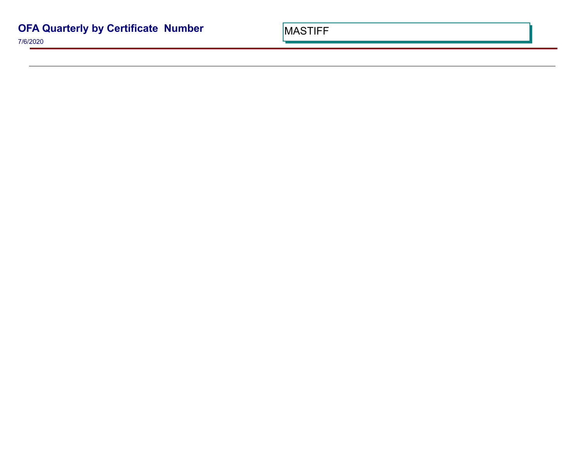7/6/2020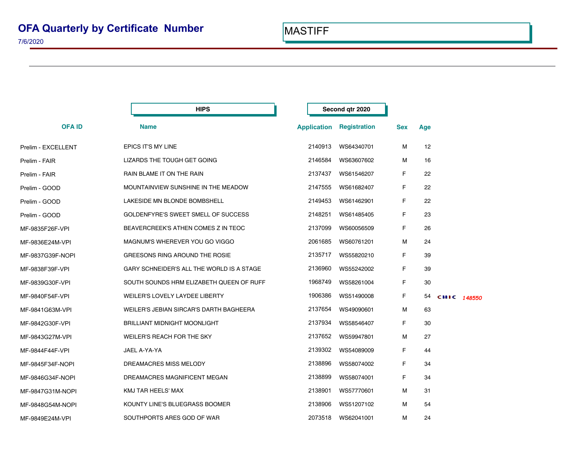|                    | <b>HIPS</b>                               |                    | Second qtr 2020     |            |     |             |  |
|--------------------|-------------------------------------------|--------------------|---------------------|------------|-----|-------------|--|
| <b>OFAID</b>       | <b>Name</b>                               | <b>Application</b> | <b>Registration</b> | <b>Sex</b> | Age |             |  |
| Prelim - EXCELLENT | EPICS IT'S MY LINE                        | 2140913            | WS64340701          | м          | 12  |             |  |
| Prelim - FAIR      | LIZARDS THE TOUGH GET GOING               | 2146584            | WS63607602          | м          | 16  |             |  |
| Prelim - FAIR      | RAIN BLAME IT ON THE RAIN                 | 2137437            | WS61546207          | F.         | 22  |             |  |
| Prelim - GOOD      | MOUNTAINVIEW SUNSHINE IN THE MEADOW       | 2147555            | WS61682407          | F          | 22  |             |  |
| Prelim - GOOD      | LAKESIDE MN BLONDE BOMBSHELL              | 2149453            | WS61462901          | F          | 22  |             |  |
| Prelim - GOOD      | GOLDENFYRE'S SWEET SMELL OF SUCCESS       | 2148251            | WS61485405          | F          | 23  |             |  |
| MF-9835F26F-VPI    | BEAVERCREEK'S ATHEN COMES Z IN TEOC       | 2137099            | WS60056509          | F          | 26  |             |  |
| MF-9836E24M-VPI    | MAGNUM'S WHEREVER YOU GO VIGGO            | 2061685            | WS60761201          | м          | 24  |             |  |
| MF-9837G39F-NOPI   | GREESONS RING AROUND THE ROSIE            | 2135717            | WS55820210          | F.         | 39  |             |  |
| MF-9838F39F-VPI    | GARY SCHNEIDER'S ALL THE WORLD IS A STAGE | 2136960            | WS55242002          | F.         | 39  |             |  |
| MF-9839G30F-VPI    | SOUTH SOUNDS HRM ELIZABETH QUEEN OF RUFF  | 1968749            | WS58261004          | F          | 30  |             |  |
| MF-9840F54F-VPI    | WEILER'S LOVELY LAYDEE LIBERTY            | 1906386            | WS51490008          | F          | 54  | CHIC 148550 |  |
| MF-9841G63M-VPI    | WEILER'S JEBIAN SIRCAR'S DARTH BAGHEERA   | 2137654            | WS49090601          | М          | 63  |             |  |
| MF-9842G30F-VPI    | <b>BRILLIANT MIDNIGHT MOONLIGHT</b>       | 2137934            | WS58546407          | F          | 30  |             |  |
| MF-9843G27M-VPI    | WEILER'S REACH FOR THE SKY                | 2137652            | WS59947801          | м          | 27  |             |  |
| MF-9844F44F-VPI    | JAEL A-YA-YA                              | 2139302            | WS54089009          | F.         | 44  |             |  |
| MF-9845F34F-NOPI   | DREAMACRES MISS MELODY                    | 2138896            | WS58074002          | F.         | 34  |             |  |
| MF-9846G34F-NOPI   | DREAMACRES MAGNIFICENT MEGAN              | 2138899            | WS58074001          | F          | 34  |             |  |
| MF-9847G31M-NOPI   | KMJ TAR HEELS' MAX                        | 2138901            | WS57770601          | М          | 31  |             |  |
| MF-9848G54M-NOPI   | KOUNTY LINE'S BLUEGRASS BOOMER            | 2138906            | WS51207102          | М          | 54  |             |  |
| MF-9849E24M-VPI    | SOUTHPORTS ARES GOD OF WAR                | 2073518            | WS62041001          | M          | 24  |             |  |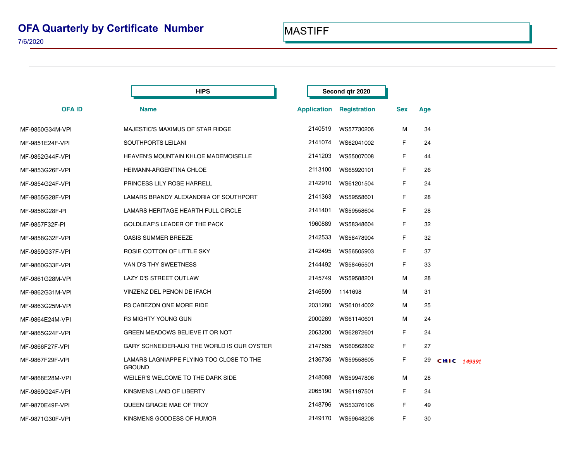|                 | <b>HIPS</b>                                               |                    | Second gtr 2020     |            |     |             |  |
|-----------------|-----------------------------------------------------------|--------------------|---------------------|------------|-----|-------------|--|
| <b>OFAID</b>    | <b>Name</b>                                               | <b>Application</b> | <b>Registration</b> | <b>Sex</b> | Age |             |  |
| MF-9850G34M-VPI | MAJESTIC'S MAXIMUS OF STAR RIDGE                          | 2140519            | WS57730206          | м          | 34  |             |  |
| MF-9851E24F-VPI | SOUTHPORTS LEILANI                                        | 2141074            | WS62041002          | F          | 24  |             |  |
| MF-9852G44F-VPI | <b>HEAVEN'S MOUNTAIN KHLOE MADEMOISELLE</b>               | 2141203            | WS55007008          | F          | 44  |             |  |
| MF-9853G26F-VPI | HEIMANN-ARGENTINA CHLOE                                   | 2113100            | WS65920101          | F          | 26  |             |  |
| MF-9854G24F-VPI | PRINCESS LILY ROSE HARRELL                                | 2142910            | WS61201504          | F          | 24  |             |  |
| MF-9855G28F-VPI | LAMARS BRANDY ALEXANDRIA OF SOUTHPORT                     | 2141363            | WS59558601          | F          | 28  |             |  |
| MF-9856G28F-PI  | LAMARS HERITAGE HEARTH FULL CIRCLE                        | 2141401            | WS59558604          | F          | 28  |             |  |
| MF-9857F32F-PI  | GOLDLEAF'S LEADER OF THE PACK                             | 1960889            | WS58348604          | F          | 32  |             |  |
| MF-9858G32F-VPI | <b>OASIS SUMMER BREEZE</b>                                | 2142533            | WS58478904          | F          | 32  |             |  |
| MF-9859G37F-VPI | ROSIE COTTON OF LITTLE SKY                                | 2142495            | WS56505903          | F          | 37  |             |  |
| MF-9860G33F-VPI | VAN D'S THY SWEETNESS                                     | 2144492            | WS58465501          | F          | 33  |             |  |
| MF-9861G28M-VPI | LAZY D'S STREET OUTLAW                                    | 2145749            | WS59588201          | м          | 28  |             |  |
| MF-9862G31M-VPI | VINZENZ DEL PENON DE IFACH                                | 2146599            | 1141698             | М          | 31  |             |  |
| MF-9863G25M-VPI | R3 CABEZON ONE MORE RIDE                                  | 2031280            | WS61014002          | М          | 25  |             |  |
| MF-9864E24M-VPI | R3 MIGHTY YOUNG GUN                                       | 2000269            | WS61140601          | М          | 24  |             |  |
| MF-9865G24F-VPI | GREEN MEADOWS BELIEVE IT OR NOT                           | 2063200            | WS62872601          | F          | 24  |             |  |
| MF-9866F27F-VPI | GARY SCHNEIDER-ALKI THE WORLD IS OUR OYSTER               | 2147585            | WS60562802          | F          | 27  |             |  |
| MF-9867F29F-VPI | LAMARS LAGNIAPPE FLYING TOO CLOSE TO THE<br><b>GROUND</b> | 2136736            | WS59558605          | F          | 29  | CHIC 149391 |  |
| MF-9868E28M-VPI | WEILER'S WELCOME TO THE DARK SIDE                         | 2148088            | WS59947806          | м          | 28  |             |  |
| MF-9869G24F-VPI | KINSMENS LAND OF LIBERTY                                  | 2065190            | WS61197501          | F          | 24  |             |  |
| MF-9870E49F-VPI | QUEEN GRACIE MAE OF TROY                                  | 2148796            | WS53376106          | F          | 49  |             |  |
| MF-9871G30F-VPI | KINSMENS GODDESS OF HUMOR                                 | 2149170            | WS59648208          | F          | 30  |             |  |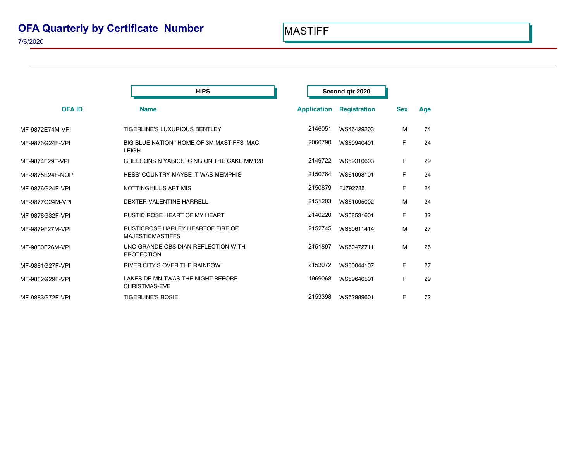|                  | <b>HIPS</b>                                                         |                    | Second qtr 2020     |            |     |  |
|------------------|---------------------------------------------------------------------|--------------------|---------------------|------------|-----|--|
| <b>OFAID</b>     | <b>Name</b>                                                         | <b>Application</b> | <b>Registration</b> | <b>Sex</b> | Age |  |
| MF-9872E74M-VPI  | <b>TIGERLINE'S LUXURIOUS BENTLEY</b>                                | 2146051            | WS46429203          | М          | 74  |  |
| MF-9873G24F-VPI  | BIG BLUE NATION ' HOME OF 3M MASTIFFS' MACI<br><b>LEIGH</b>         | 2060790            | WS60940401          | F.         | 24  |  |
| MF-9874F29F-VPI  | GREESONS N YABIGS ICING ON THE CAKE MM128                           | 2149722            | WS59310603          | F          | 29  |  |
| MF-9875E24F-NOPI | <b>HESS' COUNTRY MAYBE IT WAS MEMPHIS</b>                           | 2150764            | WS61098101          | F          | 24  |  |
| MF-9876G24F-VPI  | <b>NOTTINGHILL'S ARTIMIS</b>                                        | 2150879            | FJ792785            | F          | 24  |  |
| MF-9877G24M-VPI  | DEXTER VALENTINE HARRELL                                            | 2151203            | WS61095002          | М          | 24  |  |
| MF-9878G32F-VPI  | RUSTIC ROSE HEART OF MY HEART                                       | 2140220            | WS58531601          | F          | 32  |  |
| MF-9879F27M-VPI  | <b>RUSTICROSE HARLEY HEARTOF FIRE OF</b><br><b>MAJESTICMASTIFFS</b> | 2152745            | WS60611414          | М          | 27  |  |
| MF-9880F26M-VPI  | UNO GRANDE OBSIDIAN REFLECTION WITH<br><b>PROTECTION</b>            | 2151897            | WS60472711          | М          | 26  |  |
| MF-9881G27F-VPI  | RIVER CITY'S OVER THE RAINBOW                                       | 2153072            | WS60044107          | F          | 27  |  |
| MF-9882G29F-VPI  | LAKESIDE MN TWAS THE NIGHT BEFORE<br><b>CHRISTMAS-EVE</b>           | 1969068            | WS59640501          | F          | 29  |  |
| MF-9883G72F-VPI  | <b>TIGERLINE'S ROSIE</b>                                            | 2153398            | WS62989601          | F.         | 72  |  |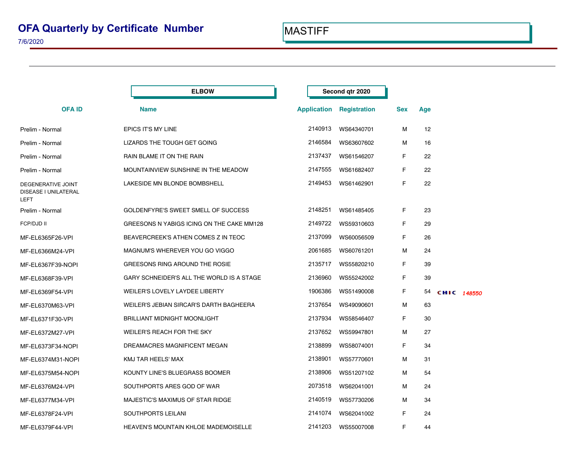|                                                           | <b>ELBOW</b>                                |                    | Second gtr 2020     |            |     |             |
|-----------------------------------------------------------|---------------------------------------------|--------------------|---------------------|------------|-----|-------------|
| <b>OFAID</b>                                              | <b>Name</b>                                 | <b>Application</b> | <b>Registration</b> | <b>Sex</b> | Age |             |
| Prelim - Normal                                           | <b>EPICS IT'S MY LINE</b>                   | 2140913            | WS64340701          | М          | 12  |             |
| Prelim - Normal                                           | LIZARDS THE TOUGH GET GOING                 | 2146584            | WS63607602          | м          | 16  |             |
| Prelim - Normal                                           | RAIN BLAME IT ON THE RAIN                   | 2137437            | WS61546207          | F.         | 22  |             |
| Prelim - Normal                                           | MOUNTAINVIEW SUNSHINE IN THE MEADOW         | 2147555            | WS61682407          | F          | 22  |             |
| DEGENERATIVE JOINT<br>DISEASE I UNILATERAL<br><b>LEFT</b> | LAKESIDE MN BLONDE BOMBSHELL                | 2149453            | WS61462901          | F.         | 22  |             |
| Prelim - Normal                                           | GOLDENFYRE'S SWEET SMELL OF SUCCESS         | 2148251            | WS61485405          | F.         | 23  |             |
| FCP/DJD II                                                | GREESONS N YABIGS ICING ON THE CAKE MM128   | 2149722            | WS59310603          | F.         | 29  |             |
| MF-EL6365F26-VPI                                          | BEAVERCREEK'S ATHEN COMES Z IN TEOC         | 2137099            | WS60056509          | F.         | 26  |             |
| MF-EL6366M24-VPI                                          | MAGNUM'S WHEREVER YOU GO VIGGO              | 2061685            | WS60761201          | м          | 24  |             |
| MF-EL6367F39-NOPI                                         | GREESONS RING AROUND THE ROSIE              | 2135717            | WS55820210          | F.         | 39  |             |
| MF-EL6368F39-VPI                                          | GARY SCHNEIDER'S ALL THE WORLD IS A STAGE   | 2136960            | WS55242002          | F.         | 39  |             |
| MF-EL6369F54-VPI                                          | WEILER'S LOVELY LAYDEE LIBERTY              | 1906386            | WS51490008          | F.         | 54  | CHIC 148550 |
| MF-EL6370M63-VPI                                          | WEILER'S JEBIAN SIRCAR'S DARTH BAGHEERA     | 2137654            | WS49090601          | М          | 63  |             |
| MF-EL6371F30-VPI                                          | <b>BRILLIANT MIDNIGHT MOONLIGHT</b>         | 2137934            | WS58546407          | F.         | 30  |             |
| MF-EL6372M27-VPI                                          | WEILER'S REACH FOR THE SKY                  | 2137652            | WS59947801          | М          | 27  |             |
| MF-EL6373F34-NOPI                                         | DREAMACRES MAGNIFICENT MEGAN                | 2138899            | WS58074001          | F.         | 34  |             |
| MF-EL6374M31-NOPI                                         | KMJ TAR HEELS' MAX                          | 2138901            | WS57770601          | м          | 31  |             |
| MF-EL6375M54-NOPI                                         | KOUNTY LINE'S BLUEGRASS BOOMER              | 2138906            | WS51207102          | м          | 54  |             |
| MF-EL6376M24-VPI                                          | SOUTHPORTS ARES GOD OF WAR                  | 2073518            | WS62041001          | м          | 24  |             |
| MF-EL6377M34-VPI                                          | MAJESTIC'S MAXIMUS OF STAR RIDGE            | 2140519            | WS57730206          | м          | 34  |             |
| MF-EL6378F24-VPI                                          | SOUTHPORTS LEILANI                          | 2141074            | WS62041002          | F          | 24  |             |
| MF-EL6379F44-VPI                                          | <b>HEAVEN'S MOUNTAIN KHLOE MADEMOISELLE</b> | 2141203            | WS55007008          | F          | 44  |             |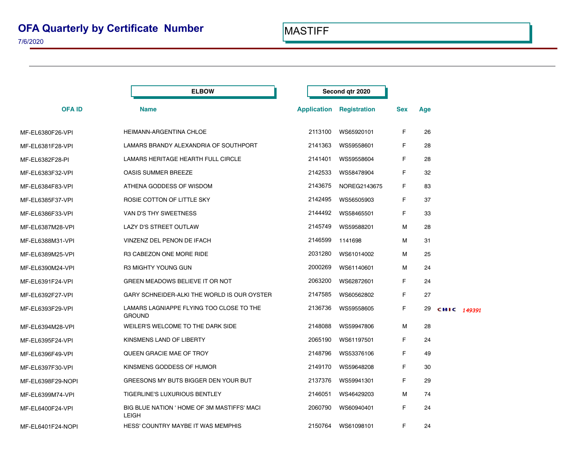|                   | <b>ELBOW</b>                                                |                    | Second qtr 2020 |            |     |             |
|-------------------|-------------------------------------------------------------|--------------------|-----------------|------------|-----|-------------|
| <b>OFAID</b>      | <b>Name</b>                                                 | <b>Application</b> | Registration    | <b>Sex</b> | Age |             |
| MF-EL6380F26-VPI  | HEIMANN-ARGENTINA CHLOE                                     | 2113100            | WS65920101      | F          | 26  |             |
| MF-EL6381F28-VPI  | LAMARS BRANDY ALEXANDRIA OF SOUTHPORT                       | 2141363            | WS59558601      | F.         | 28  |             |
| MF-EL6382F28-PI   | LAMARS HERITAGE HEARTH FULL CIRCLE                          | 2141401            | WS59558604      | F          | 28  |             |
| MF-EL6383F32-VPI  | <b>OASIS SUMMER BREEZE</b>                                  | 2142533            | WS58478904      | F          | 32  |             |
| MF-EL6384F83-VPI  | ATHENA GODDESS OF WISDOM                                    | 2143675            | NOREG2143675    | F          | 83  |             |
| MF-EL6385F37-VPI  | ROSIE COTTON OF LITTLE SKY                                  | 2142495            | WS56505903      | F          | 37  |             |
| MF-EL6386F33-VPI  | VAN D'S THY SWEETNESS                                       | 2144492            | WS58465501      | F          | 33  |             |
| MF-EL6387M28-VPI  | LAZY D'S STREET OUTLAW                                      | 2145749            | WS59588201      | м          | 28  |             |
| MF-EL6388M31-VPI  | VINZENZ DEL PENON DE IFACH                                  | 2146599            | 1141698         | м          | 31  |             |
| MF-EL6389M25-VPI  | R3 CABEZON ONE MORE RIDE                                    | 2031280            | WS61014002      | м          | 25  |             |
| MF-EL6390M24-VPI  | R3 MIGHTY YOUNG GUN                                         | 2000269            | WS61140601      | М          | 24  |             |
| MF-EL6391F24-VPI  | GREEN MEADOWS BELIEVE IT OR NOT                             | 2063200            | WS62872601      | F          | 24  |             |
| MF-EL6392F27-VPI  | GARY SCHNEIDER-ALKI THE WORLD IS OUR OYSTER                 | 2147585            | WS60562802      | F          | 27  |             |
| MF-EL6393F29-VPI  | LAMARS LAGNIAPPE FLYING TOO CLOSE TO THE<br><b>GROUND</b>   | 2136736            | WS59558605      | F          | 29  | CHIC 149391 |
| MF-EL6394M28-VPI  | WEILER'S WELCOME TO THE DARK SIDE                           | 2148088            | WS59947806      | м          | 28  |             |
| MF-EL6395F24-VPI  | KINSMENS LAND OF LIBERTY                                    | 2065190            | WS61197501      | F          | 24  |             |
| MF-EL6396F49-VPI  | QUEEN GRACIE MAE OF TROY                                    | 2148796            | WS53376106      | F          | 49  |             |
| MF-EL6397F30-VPI  | KINSMENS GODDESS OF HUMOR                                   | 2149170            | WS59648208      | F          | 30  |             |
| MF-EL6398F29-NOPI | GREESONS MY BUTS BIGGER DEN YOUR BUT                        | 2137376            | WS59941301      | F          | 29  |             |
| MF-EL6399M74-VPI  | <b>TIGERLINE'S LUXURIOUS BENTLEY</b>                        | 2146051            | WS46429203      | м          | 74  |             |
| MF-EL6400F24-VPI  | BIG BLUE NATION ' HOME OF 3M MASTIFFS' MACI<br><b>LEIGH</b> | 2060790            | WS60940401      | F          | 24  |             |
| MF-EL6401F24-NOPI | <b>HESS' COUNTRY MAYBE IT WAS MEMPHIS</b>                   | 2150764            | WS61098101      | F          | 24  |             |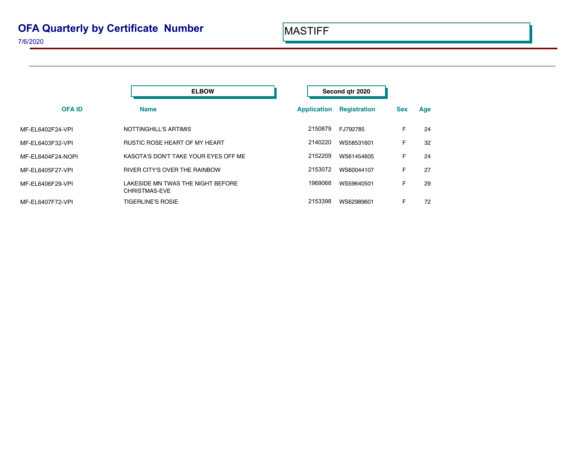|                   | <b>ELBOW</b>                                              | Second gtr 2020                           |            |     |
|-------------------|-----------------------------------------------------------|-------------------------------------------|------------|-----|
| <b>OFAID</b>      | <b>Name</b>                                               | <b>Registration</b><br><b>Application</b> | <b>Sex</b> | Age |
| MF-EL6402F24-VPI  | NOTTINGHILL'S ARTIMIS                                     | 2150879<br>FJ792785                       | F          | 24  |
| MF-EL6403F32-VPI  | <b>RUSTIC ROSE HEART OF MY HEART</b>                      | 2140220<br>WS58531601                     | F          | 32  |
| MF-EL6404F24-NOPI | KASOTA'S DON'T TAKE YOUR EYES OFF ME                      | 2152209<br>WS61454605                     | F          | 24  |
| MF-EL6405F27-VPI  | RIVER CITY'S OVER THE RAINBOW                             | 2153072<br>WS60044107                     | F          | 27  |
| MF-EL6406F29-VPI  | LAKESIDE MN TWAS THE NIGHT BEFORE<br><b>CHRISTMAS-EVE</b> | 1969068<br>WS59640501                     | F          | 29  |
| MF-EL6407F72-VPI  | <b>TIGERLINE'S ROSIE</b>                                  | 2153398<br>WS62989601                     | F          | 72  |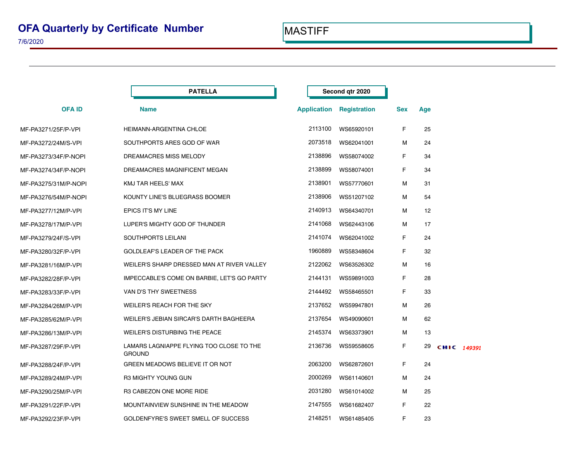|                      | <b>PATELLA</b>                                            |                    | Second gtr 2020 |            |                 |             |  |
|----------------------|-----------------------------------------------------------|--------------------|-----------------|------------|-----------------|-------------|--|
| <b>OFAID</b>         | <b>Name</b>                                               | <b>Application</b> | Registration    | <b>Sex</b> | Age             |             |  |
| MF-PA3271/25F/P-VPI  | <b>HEIMANN-ARGENTINA CHLOE</b>                            | 2113100            | WS65920101      | F          | 25              |             |  |
| MF-PA3272/24M/S-VPI  | SOUTHPORTS ARES GOD OF WAR                                | 2073518            | WS62041001      | м          | 24              |             |  |
| MF-PA3273/34F/P-NOPI | DREAMACRES MISS MELODY                                    | 2138896            | WS58074002      | F          | 34              |             |  |
| MF-PA3274/34F/P-NOPI | DREAMACRES MAGNIFICENT MEGAN                              | 2138899            | WS58074001      | F          | 34              |             |  |
| MF-PA3275/31M/P-NOPI | KMJ TAR HEELS' MAX                                        | 2138901            | WS57770601      | м          | 31              |             |  |
| MF-PA3276/54M/P-NOPI | KOUNTY LINE'S BLUEGRASS BOOMER                            | 2138906            | WS51207102      | м          | 54              |             |  |
| MF-PA3277/12M/P-VPI  | EPICS IT'S MY LINE                                        | 2140913            | WS64340701      | м          | 12 <sup>2</sup> |             |  |
| MF-PA3278/17M/P-VPI  | LUPER'S MIGHTY GOD OF THUNDER                             | 2141068            | WS62443106      | м          | 17              |             |  |
| MF-PA3279/24F/S-VPI  | SOUTHPORTS LEILANI                                        | 2141074            | WS62041002      | F.         | 24              |             |  |
| MF-PA3280/32F/P-VPI  | <b>GOLDLEAF'S LEADER OF THE PACK</b>                      | 1960889            | WS58348604      | F.         | 32              |             |  |
| MF-PA3281/16M/P-VPI  | WEILER'S SHARP DRESSED MAN AT RIVER VALLEY                | 2122062            | WS63526302      | м          | 16              |             |  |
| MF-PA3282/28F/P-VPI  | IMPECCABLE'S COME ON BARBIE, LET'S GO PARTY               | 2144131            | WS59891003      | F.         | 28              |             |  |
| MF-PA3283/33F/P-VPI  | VAN D'S THY SWEETNESS                                     | 2144492            | WS58465501      | F.         | 33              |             |  |
| MF-PA3284/26M/P-VPI  | WEILER'S REACH FOR THE SKY                                | 2137652            | WS59947801      | м          | 26              |             |  |
| MF-PA3285/62M/P-VPI  | WEILER'S JEBIAN SIRCAR'S DARTH BAGHEERA                   | 2137654            | WS49090601      | м          | 62              |             |  |
| MF-PA3286/13M/P-VPI  | WEILER'S DISTURBING THE PEACE                             | 2145374            | WS63373901      | м          | 13              |             |  |
| MF-PA3287/29F/P-VPI  | LAMARS LAGNIAPPE FLYING TOO CLOSE TO THE<br><b>GROUND</b> | 2136736            | WS59558605      | F.         | 29              | CHIC 149391 |  |
| MF-PA3288/24F/P-VPI  | GREEN MEADOWS BELIEVE IT OR NOT                           | 2063200            | WS62872601      | F          | 24              |             |  |
| MF-PA3289/24M/P-VPI  | R3 MIGHTY YOUNG GUN                                       | 2000269            | WS61140601      | м          | 24              |             |  |
| MF-PA3290/25M/P-VPI  | R3 CABEZON ONE MORE RIDE                                  | 2031280            | WS61014002      | м          | 25              |             |  |
| MF-PA3291/22F/P-VPI  | MOUNTAINVIEW SUNSHINE IN THE MEADOW                       | 2147555            | WS61682407      | F.         | 22              |             |  |
| MF-PA3292/23F/P-VPI  | GOLDENFYRE'S SWEET SMELL OF SUCCESS                       | 2148251            | WS61485405      | F          | 23              |             |  |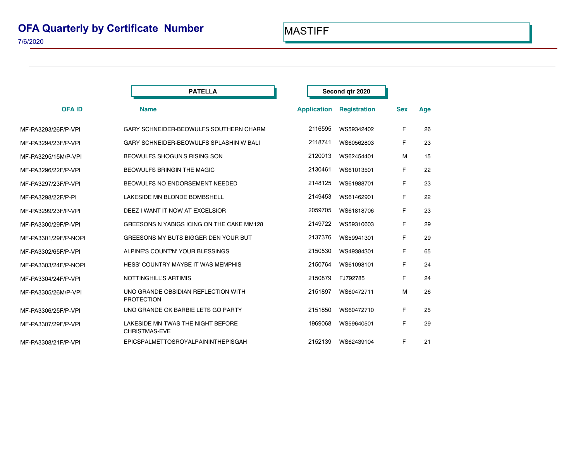|                      | <b>PATELLA</b>                                            | Second qtr 2020 |                    |                     |            |     |  |
|----------------------|-----------------------------------------------------------|-----------------|--------------------|---------------------|------------|-----|--|
| <b>OFA ID</b>        | <b>Name</b>                                               |                 | <b>Application</b> | <b>Registration</b> | <b>Sex</b> | Age |  |
| MF-PA3293/26F/P-VPI  | GARY SCHNEIDER-BEOWULFS SOUTHERN CHARM                    |                 | 2116595            | WS59342402          | F          | 26  |  |
| MF-PA3294/23F/P-VPI  | GARY SCHNEIDER-BEOWULFS SPLASHIN W BALI                   |                 | 2118741            | WS60562803          | F          | 23  |  |
| MF-PA3295/15M/P-VPI  | <b>BEOWULFS SHOGUN'S RISING SON</b>                       |                 | 2120013            | WS62454401          | м          | 15  |  |
| MF-PA3296/22F/P-VPI  | <b>BEOWULFS BRINGIN THE MAGIC</b>                         |                 | 2130461            | WS61013501          | F          | 22  |  |
| MF-PA3297/23F/P-VPI  | BEOWULFS NO ENDORSEMENT NEEDED                            |                 | 2148125            | WS61988701          | F          | 23  |  |
| MF-PA3298/22F/P-PI   | LAKESIDE MN BLONDE BOMBSHELL                              |                 | 2149453            | WS61462901          | F          | 22  |  |
| MF-PA3299/23F/P-VPI  | DEEZ I WANT IT NOW AT EXCELSIOR                           |                 | 2059705            | WS61818706          | F          | 23  |  |
| MF-PA3300/29F/P-VPI  | GREESONS N YABIGS ICING ON THE CAKE MM128                 |                 | 2149722            | WS59310603          | F          | 29  |  |
| MF-PA3301/29F/P-NOPI | GREESONS MY BUTS BIGGER DEN YOUR BUT                      |                 | 2137376            | WS59941301          | F          | 29  |  |
| MF-PA3302/65F/P-VPI  | ALPINE'S COUNT'N' YOUR BLESSINGS                          |                 | 2150530            | WS49384301          | F          | 65  |  |
| MF-PA3303/24F/P-NOPI | HESS' COUNTRY MAYBE IT WAS MEMPHIS                        |                 | 2150764            | WS61098101          | F          | 24  |  |
| MF-PA3304/24F/P-VPI  | <b>NOTTINGHILL'S ARTIMIS</b>                              |                 | 2150879            | FJ792785            | F          | 24  |  |
| MF-PA3305/26M/P-VPI  | UNO GRANDE OBSIDIAN REFLECTION WITH<br><b>PROTECTION</b>  |                 | 2151897            | WS60472711          | м          | 26  |  |
| MF-PA3306/25F/P-VPI  | UNO GRANDE OK BARBIE LETS GO PARTY                        |                 | 2151850            | WS60472710          | F          | 25  |  |
| MF-PA3307/29F/P-VPI  | LAKESIDE MN TWAS THE NIGHT BEFORE<br><b>CHRISTMAS-EVE</b> |                 | 1969068            | WS59640501          | F          | 29  |  |
| MF-PA3308/21F/P-VPI  | EPICSPALMETTOSROYALPAININTHEPISGAH                        |                 | 2152139            | WS62439104          | F          | 21  |  |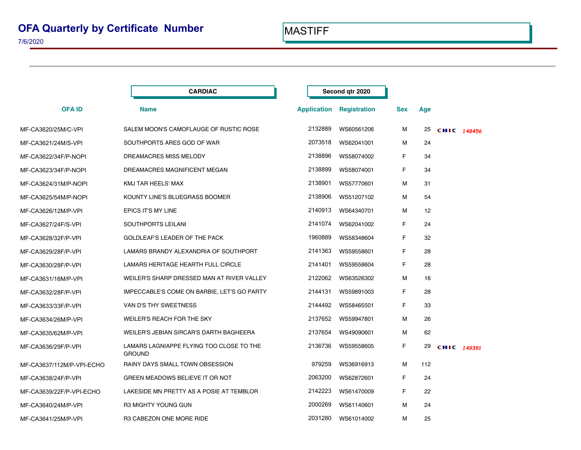|                           | <b>CARDIAC</b>                                            |                    | Second gtr 2020     |            |                 |             |  |
|---------------------------|-----------------------------------------------------------|--------------------|---------------------|------------|-----------------|-------------|--|
| <b>OFAID</b>              | <b>Name</b>                                               | <b>Application</b> | <b>Registration</b> | <b>Sex</b> | Age             |             |  |
| MF-CA3620/25M/C-VPI       | SALEM MOON'S CAMOFLAUGE OF RUSTIC ROSE                    | 2132889            | WS60561206          | м          | 25              | CHIC 148456 |  |
| MF-CA3621/24M/S-VPI       | SOUTHPORTS ARES GOD OF WAR                                | 2073518            | WS62041001          | м          | 24              |             |  |
| MF-CA3622/34F/P-NOPI      | DREAMACRES MISS MELODY                                    | 2138896            | WS58074002          | F.         | 34              |             |  |
| MF-CA3623/34F/P-NOPI      | DREAMACRES MAGNIFICENT MEGAN                              | 2138899            | WS58074001          | F.         | 34              |             |  |
| MF-CA3624/31M/P-NOPI      | KMJ TAR HEELS' MAX                                        | 2138901            | WS57770601          | м          | 31              |             |  |
| MF-CA3625/54M/P-NOPI      | KOUNTY LINE'S BLUEGRASS BOOMER                            | 2138906            | WS51207102          | м          | 54              |             |  |
| MF-CA3626/12M/P-VPI       | EPICS IT'S MY LINE                                        | 2140913            | WS64340701          | м          | 12 <sup>2</sup> |             |  |
| MF-CA3627/24F/S-VPI       | SOUTHPORTS LEILANI                                        | 2141074            | WS62041002          | F.         | 24              |             |  |
| MF-CA3628/32F/P-VPI       | GOLDLEAF'S LEADER OF THE PACK                             | 1960889            | WS58348604          | F          | 32              |             |  |
| MF-CA3629/28F/P-VPI       | LAMARS BRANDY ALEXANDRIA OF SOUTHPORT                     | 2141363            | WS59558601          | F.         | 28              |             |  |
| MF-CA3630/28F/P-VPI       | LAMARS HERITAGE HEARTH FULL CIRCLE                        | 2141401            | WS59558604          | F          | 28              |             |  |
| MF-CA3631/16M/P-VPI       | WEILER'S SHARP DRESSED MAN AT RIVER VALLEY                | 2122062            | WS63526302          | м          | 16              |             |  |
| MF-CA3632/28F/P-VPI       | IMPECCABLE'S COME ON BARBIE, LET'S GO PARTY               | 2144131            | WS59891003          | F          | 28              |             |  |
| MF-CA3633/33F/P-VPI       | VAN D'S THY SWEETNESS                                     | 2144492            | WS58465501          | F          | 33              |             |  |
| MF-CA3634/26M/P-VPI       | WEILER'S REACH FOR THE SKY                                | 2137652            | WS59947801          | М          | 26              |             |  |
| MF-CA3635/62M/P-VPI       | WEILER'S JEBIAN SIRCAR'S DARTH BAGHEERA                   | 2137654            | WS49090601          | м          | 62              |             |  |
| MF-CA3636/29F/P-VPI       | LAMARS LAGNIAPPE FLYING TOO CLOSE TO THE<br><b>GROUND</b> | 2136736            | WS59558605          | F.         | 29              | CHIC 149391 |  |
| MF-CA3637/112M/P-VPI-ECHO | <b>RAINY DAYS SMALL TOWN OBSESSION</b>                    | 979259             | WS36916913          | м          | 112             |             |  |
| MF-CA3638/24F/P-VPI       | GREEN MEADOWS BELIEVE IT OR NOT                           | 2063200            | WS62872601          | F.         | 24              |             |  |
| MF-CA3639/22F/P-VPI-ECHO  | LAKESIDE MN PRETTY AS A POSIE AT TEMBLOR                  | 2142223            | WS61470009          | F.         | 22              |             |  |
| MF-CA3640/24M/P-VPI       | R3 MIGHTY YOUNG GUN                                       | 2000269            | WS61140601          | м          | 24              |             |  |
| MF-CA3641/25M/P-VPI       | R3 CABEZON ONE MORE RIDE                                  | 2031280            | WS61014002          | м          | 25              |             |  |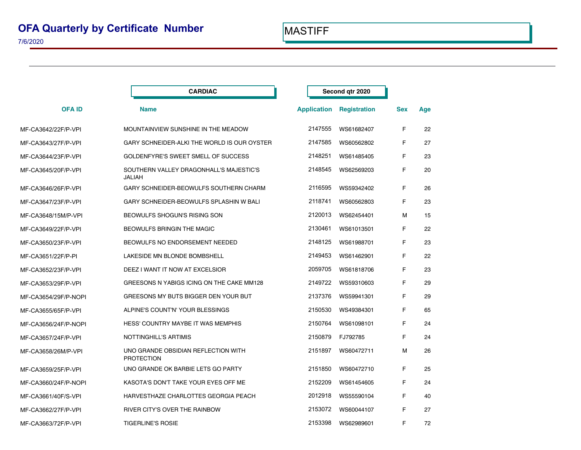|                      | <b>CARDIAC</b>                                           | Second qtr 2020 |                                 |            |     |
|----------------------|----------------------------------------------------------|-----------------|---------------------------------|------------|-----|
| <b>OFAID</b>         | <b>Name</b>                                              |                 | <b>Application Registration</b> | <b>Sex</b> | Age |
| MF-CA3642/22F/P-VPI  | MOUNTAINVIEW SUNSHINE IN THE MEADOW                      | 2147555         | WS61682407                      | F.         | 22  |
| MF-CA3643/27F/P-VPI  | GARY SCHNEIDER-ALKI THE WORLD IS OUR OYSTER              | 2147585         | WS60562802                      | F.         | 27  |
| MF-CA3644/23F/P-VPI  | GOLDENFYRE'S SWEET SMELL OF SUCCESS                      | 2148251         | WS61485405                      | F          | 23  |
| MF-CA3645/20F/P-VPI  | SOUTHERN VALLEY DRAGONHALL'S MAJESTIC'S<br>JALIAH        | 2148545         | WS62569203                      | F.         | 20  |
| MF-CA3646/26F/P-VPI  | GARY SCHNEIDER-BEOWULFS SOUTHERN CHARM                   | 2116595         | WS59342402                      | F.         | 26  |
| MF-CA3647/23F/P-VPI  | GARY SCHNEIDER-BEOWULFS SPLASHIN W BALI                  | 2118741         | WS60562803                      | F          | 23  |
| MF-CA3648/15M/P-VPI  | BEOWULFS SHOGUN'S RISING SON                             | 2120013         | WS62454401                      | м          | 15  |
| MF-CA3649/22F/P-VPI  | <b>BEOWULFS BRINGIN THE MAGIC</b>                        | 2130461         | WS61013501                      | F          | 22  |
| MF-CA3650/23F/P-VPI  | BEOWULFS NO ENDORSEMENT NEEDED                           | 2148125         | WS61988701                      | F          | 23  |
| MF-CA3651/22F/P-PI   | LAKESIDE MN BLONDE BOMBSHELL                             | 2149453         | WS61462901                      | F.         | 22  |
| MF-CA3652/23F/P-VPI  | DEEZ I WANT IT NOW AT EXCELSIOR                          | 2059705         | WS61818706                      | F.         | 23  |
| MF-CA3653/29F/P-VPI  | GREESONS N YABIGS ICING ON THE CAKE MM128                | 2149722         | WS59310603                      | F          | 29  |
| MF-CA3654/29F/P-NOPI | GREESONS MY BUTS BIGGER DEN YOUR BUT                     | 2137376         | WS59941301                      | F.         | 29  |
| MF-CA3655/65F/P-VPI  | ALPINE'S COUNT'N' YOUR BLESSINGS                         | 2150530         | WS49384301                      | F          | 65  |
| MF-CA3656/24F/P-NOPI | HESS' COUNTRY MAYBE IT WAS MEMPHIS                       | 2150764         | WS61098101                      | F          | 24  |
| MF-CA3657/24F/P-VPI  | NOTTINGHILL'S ARTIMIS                                    | 2150879         | FJ792785                        | F.         | 24  |
| MF-CA3658/26M/P-VPI  | UNO GRANDE OBSIDIAN REFLECTION WITH<br><b>PROTECTION</b> | 2151897         | WS60472711                      | м          | 26  |
| MF-CA3659/25F/P-VPI  | UNO GRANDE OK BARBIE LETS GO PARTY                       | 2151850         | WS60472710                      | F          | 25  |
| MF-CA3660/24F/P-NOPI | KASOTA'S DON'T TAKE YOUR EYES OFF ME                     | 2152209         | WS61454605                      | F.         | 24  |
| MF-CA3661/40F/S-VPI  | HARVESTHAZE CHARLOTTES GEORGIA PEACH                     | 2012918         | WS55590104                      | F          | 40  |
| MF-CA3662/27F/P-VPI  | RIVER CITY'S OVER THE RAINBOW                            | 2153072         | WS60044107                      | F.         | 27  |
| MF-CA3663/72F/P-VPI  | <b>TIGERLINE'S ROSIE</b>                                 | 2153398         | WS62989601                      | F          | 72  |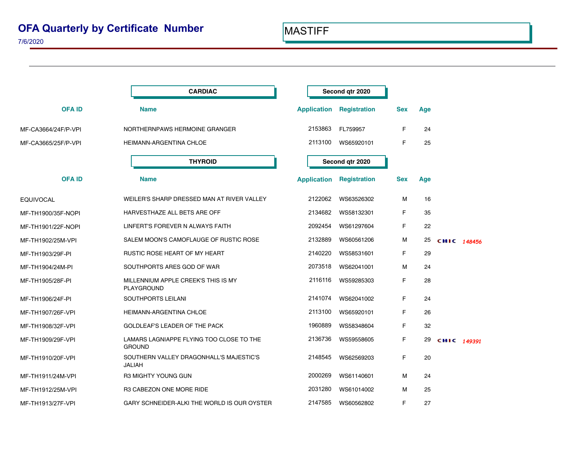## **OFA Quarterly by Certificate Number**

|                     | <b>CARDIAC</b>                                            |                    | Second qtr 2020     |            |     |             |
|---------------------|-----------------------------------------------------------|--------------------|---------------------|------------|-----|-------------|
| <b>OFAID</b>        | <b>Name</b>                                               | <b>Application</b> | <b>Registration</b> | <b>Sex</b> | Age |             |
| MF-CA3664/24F/P-VPI | NORTHERNPAWS HERMOINE GRANGER                             | 2153863            | FL759957            | F.         | 24  |             |
| MF-CA3665/25F/P-VPI | HEIMANN-ARGENTINA CHLOE                                   | 2113100            | WS65920101          | F          | 25  |             |
|                     | <b>THYROID</b>                                            |                    | Second qtr 2020     |            |     |             |
| <b>OFA ID</b>       | <b>Name</b>                                               | <b>Application</b> | Registration        | <b>Sex</b> | Age |             |
| <b>EQUIVOCAL</b>    | WEILER'S SHARP DRESSED MAN AT RIVER VALLEY                | 2122062            | WS63526302          | м          | 16  |             |
| MF-TH1900/35F-NOPI  | HARVESTHAZE ALL BETS ARE OFF                              | 2134682            | WS58132301          | F          | 35  |             |
| MF-TH1901/22F-NOPI  | LINFERT'S FOREVER N ALWAYS FAITH                          | 2092454            | WS61297604          | F.         | 22  |             |
| MF-TH1902/25M-VPI   | SALEM MOON'S CAMOFLAUGE OF RUSTIC ROSE                    | 2132889            | WS60561206          | м          | 25  | CHIC 148456 |
| MF-TH1903/29F-PI    | RUSTIC ROSE HEART OF MY HEART                             | 2140220            | WS58531601          | F.         | 29  |             |
| MF-TH1904/24M-PI    | SOUTHPORTS ARES GOD OF WAR                                | 2073518            | WS62041001          | м          | 24  |             |
| MF-TH1905/28F-PI    | MILLENNIUM APPLE CREEK'S THIS IS MY<br>PLAYGROUND         | 2116116            | WS59285303          | F.         | 28  |             |
| MF-TH1906/24F-PI    | SOUTHPORTS LEILANI                                        | 2141074            | WS62041002          | F.         | 24  |             |
| MF-TH1907/26F-VPI   | HEIMANN-ARGENTINA CHLOE                                   | 2113100            | WS65920101          | F.         | 26  |             |
| MF-TH1908/32F-VPI   | GOLDLEAF'S LEADER OF THE PACK                             | 1960889            | WS58348604          | F          | 32  |             |
| MF-TH1909/29F-VPI   | LAMARS LAGNIAPPE FLYING TOO CLOSE TO THE<br><b>GROUND</b> | 2136736            | WS59558605          | F.         | 29  | CHIC 149391 |
| MF-TH1910/20F-VPI   | SOUTHERN VALLEY DRAGONHALL'S MAJESTIC'S<br>JALIAH         | 2148545            | WS62569203          | F.         | 20  |             |
| MF-TH1911/24M-VPI   | R3 MIGHTY YOUNG GUN                                       | 2000269            | WS61140601          | М          | 24  |             |
| MF-TH1912/25M-VPI   | R3 CABEZON ONE MORE RIDE                                  | 2031280            | WS61014002          | м          | 25  |             |
| MF-TH1913/27F-VPI   | GARY SCHNEIDER-ALKI THE WORLD IS OUR OYSTER               | 2147585            | WS60562802          | F          | 27  |             |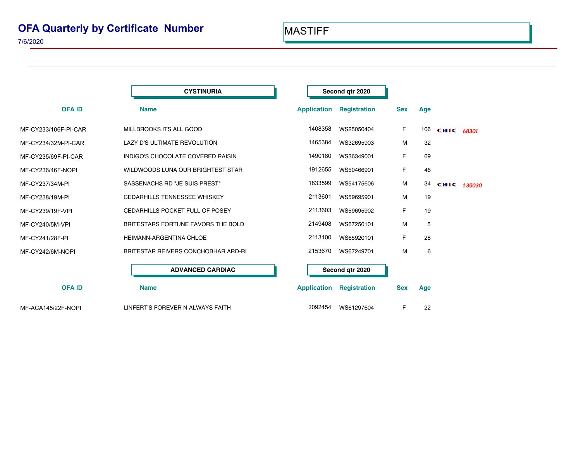|                      | <b>CYSTINURIA</b>                   |                    | Second gtr 2020     |            |     |             |
|----------------------|-------------------------------------|--------------------|---------------------|------------|-----|-------------|
| <b>OFA ID</b>        | <b>Name</b>                         | <b>Application</b> | <b>Registration</b> | <b>Sex</b> | Age |             |
| MF-CY233/106F-PI-CAR | MILLBROOKS ITS ALL GOOD             | 1408358            | WS25050404          | F          | 106 | CHIC 68301  |
| MF-CY234/32M-PI-CAR  | LAZY D'S ULTIMATE REVOLUTION        | 1465384            | WS32695903          | М          | 32  |             |
| MF-CY235/69F-PI-CAR  | INDIGO'S CHOCOLATE COVERED RAISIN   | 1490180            | WS36349001          | F          | 69  |             |
| MF-CY236/46F-NOPI    | WILDWOODS LUNA OUR BRIGHTEST STAR   | 1912655            | WS50466901          | F          | 46  |             |
| MF-CY237/34M-PI      | SASSENACHS RD "JE SUIS PREST"       | 1833599            | WS54175606          | М          | 34  | CHIC 135030 |
| MF-CY238/19M-PI      | <b>CEDARHILLS TENNESSEE WHISKEY</b> | 2113601            | WS59695901          | M          | 19  |             |
| MF-CY239/19F-VPI     | CEDARHILLS POCKET FULL OF POSEY     | 2113603            | WS59695902          | F          | 19  |             |
| MF-CY240/5M-VPI      | BRITESTARS FORTUNE FAVORS THE BOLD  | 2149408            | WS67250101          | М          | 5   |             |
| MF-CY241/28F-PI      | HEIMANN-ARGENTINA CHLOE             | 2113100            | WS65920101          | F          | 28  |             |
| MF-CY242/6M-NOPI     | BRITESTAR REIVERS CONCHOBHAR ARD-RI | 2153670            | WS67249701          | М          | 6   |             |
|                      | <b>ADVANCED CARDIAC</b>             |                    | Second qtr 2020     |            |     |             |
| <b>OFAID</b>         | <b>Name</b>                         | <b>Application</b> | <b>Registration</b> | <b>Sex</b> | Age |             |
| MF-ACA145/22F-NOPI   | LINFERT'S FOREVER N ALWAYS FAITH    | 2092454            | WS61297604          | F          | 22  |             |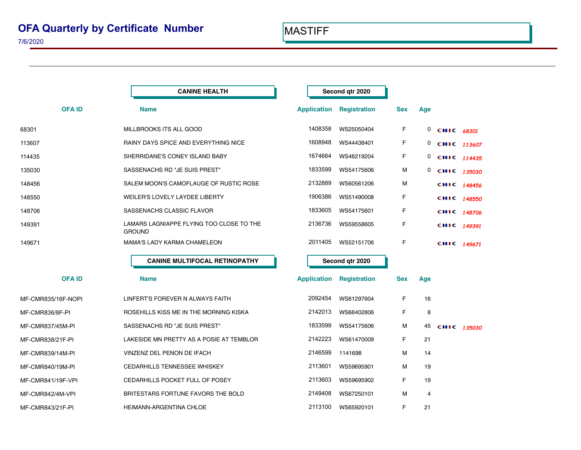|                    | <b>CANINE HEALTH</b>                               |                    | Second qtr 2020                 |            |              |             |  |
|--------------------|----------------------------------------------------|--------------------|---------------------------------|------------|--------------|-------------|--|
| <b>OFAID</b>       | <b>Name</b>                                        | <b>Application</b> | <b>Registration</b>             | <b>Sex</b> | Age          |             |  |
| 68301              | MILLBROOKS ITS ALL GOOD                            | 1408358            | WS25050404                      | F          | $\mathbf{0}$ | CHIC 68301  |  |
| 113607             | RAINY DAYS SPICE AND EVERYTHING NICE               | 1608948            | WS44438401                      | F          | 0            | CHIC 113607 |  |
| 114435             | SHERRIDANE'S CONEY ISLAND BABY                     | 1674664            | WS46219204                      | F          | 0            | CHIC 114435 |  |
| 135030             | SASSENACHS RD "JE SUIS PREST"                      | 1833599            | WS54175606                      | М          | 0            | CHIC 135030 |  |
| 148456             | SALEM MOON'S CAMOFLAUGE OF RUSTIC ROSE             | 2132889            | WS60561206                      | м          |              | CHIC 148456 |  |
| 148550             | <b>WEILER'S LOVELY LAYDEE LIBERTY</b>              | 1906386            | WS51490008                      | F          |              | CHIC 148550 |  |
| 148706             | SASSENACHS CLASSIC FLAVOR                          | 1833605            | WS54175601                      | F          |              | CHIC 148706 |  |
| 149391             | LAMARS LAGNIAPPE FLYING TOO CLOSE TO THE<br>GROUND | 2136736            | WS59558605                      | F          |              | CHIC 149391 |  |
| 149671             | <b>MAMA'S LADY KARMA CHAMELEON</b>                 | 2011405            | WS52151706                      | F          |              | CHIC 149671 |  |
|                    | <b>CANINE MULTIFOCAL RETINOPATHY</b>               |                    | Second qtr 2020                 |            |              |             |  |
| <b>OFAID</b>       | <b>Name</b>                                        |                    | <b>Application Registration</b> | <b>Sex</b> | Age          |             |  |
| MF-CMR835/16F-NOPI | LINFERT'S FOREVER N ALWAYS FAITH                   | 2092454            | WS61297604                      | F          | 16           |             |  |
| MF-CMR836/8F-PI    | ROSEHILLS KISS ME IN THE MORNING KISKA             | 2142013            | WS66402806                      | F          | 8            |             |  |
| MF-CMR837/45M-PI   | SASSENACHS RD "JE SUIS PREST"                      | 1833599            | WS54175606                      | м          | 45           | CHIC 135030 |  |
| MF-CMR838/21F-PI   | LAKESIDE MN PRETTY AS A POSIE AT TEMBLOR           | 2142223            | WS61470009                      | F          | 21           |             |  |
| MF-CMR839/14M-PI   | VINZENZ DEL PENON DE IFACH                         | 2146599            | 1141698                         | М          | 14           |             |  |
| MF-CMR840/19M-PI   | <b>CEDARHILLS TENNESSEE WHISKEY</b>                | 2113601            | WS59695901                      | м          | 19           |             |  |
| MF-CMR841/19F-VPI  | CEDARHILLS POCKET FULL OF POSEY                    | 2113603            | WS59695902                      | F          | 19           |             |  |
| MF-CMR842/4M-VPI   | BRITESTARS FORTUNE FAVORS THE BOLD                 | 2149408            | WS67250101                      | м          | 4            |             |  |
| MF-CMR843/21F-PI   | HEIMANN-ARGENTINA CHLOE                            | 2113100            | WS65920101                      | F          | 21           |             |  |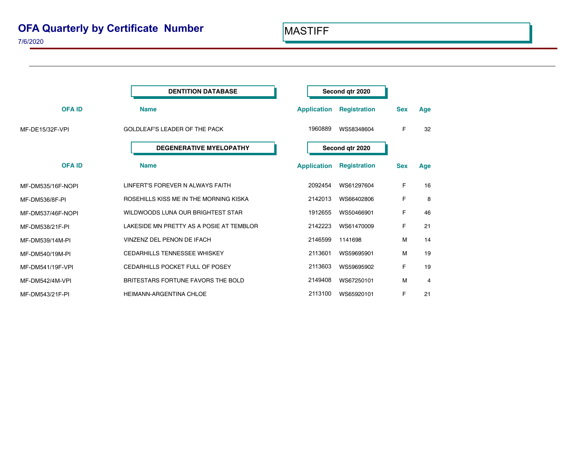## **OFA Quarterly by Certificate Number**

|                   | <b>DENTITION DATABASE</b>                | Second qtr 2020    |                     |            |     |
|-------------------|------------------------------------------|--------------------|---------------------|------------|-----|
| <b>OFAID</b>      | <b>Name</b>                              | <b>Application</b> | <b>Registration</b> | <b>Sex</b> | Age |
| MF-DE15/32F-VPI   | <b>GOLDLEAF'S LEADER OF THE PACK</b>     | 1960889            | WS58348604          | F          | 32  |
|                   | <b>DEGENERATIVE MYELOPATHY</b>           | Second qtr 2020    |                     |            |     |
| <b>OFAID</b>      | <b>Name</b>                              | <b>Application</b> | <b>Registration</b> | <b>Sex</b> | Age |
| MF-DM535/16F-NOPI | LINFERT'S FOREVER N ALWAYS FAITH         | 2092454            | WS61297604          | F          | 16  |
| MF-DM536/8F-PI    | ROSEHILLS KISS ME IN THE MORNING KISKA   | 2142013            | WS66402806          | F          | 8   |
| MF-DM537/46F-NOPI | WILDWOODS LUNA OUR BRIGHTEST STAR        | 1912655            | WS50466901          | F          | 46  |
| MF-DM538/21F-PI   | LAKESIDE MN PRETTY AS A POSIE AT TEMBLOR | 2142223            | WS61470009          | F          | 21  |
| MF-DM539/14M-PI   | VINZENZ DEL PENON DE IFACH               | 2146599            | 1141698             | м          | 14  |
| MF-DM540/19M-PI   | <b>CEDARHILLS TENNESSEE WHISKEY</b>      | 2113601            | WS59695901          | м          | 19  |
| MF-DM541/19F-VPI  | CEDARHILLS POCKET FULL OF POSEY          | 2113603            | WS59695902          | F          | 19  |
| MF-DM542/4M-VPI   | BRITESTARS FORTUNE FAVORS THE BOLD       | 2149408            | WS67250101          | М          | 4   |
| MF-DM543/21F-PI   | <b>HEIMANN-ARGENTINA CHLOE</b>           | 2113100            | WS65920101          | F          | 21  |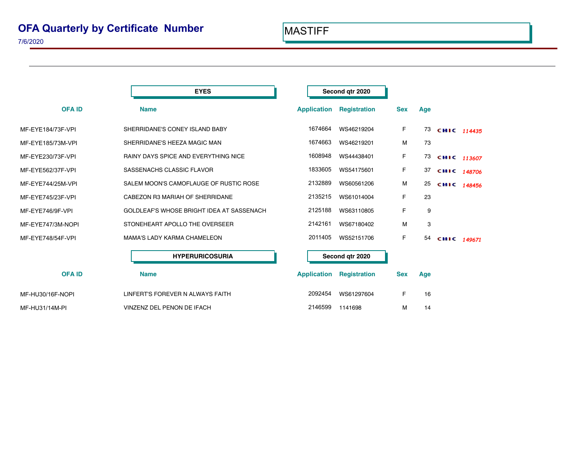|                   | <b>EYES</b>                                 | Second qtr 2020    |                     |            |     |             |
|-------------------|---------------------------------------------|--------------------|---------------------|------------|-----|-------------|
| <b>OFAID</b>      | <b>Name</b>                                 | <b>Application</b> | <b>Registration</b> | <b>Sex</b> | Age |             |
| MF-EYE184/73F-VPI | SHERRIDANE'S CONEY ISLAND BABY              | 1674664            | WS46219204          | F          | 73  | CHIC 114435 |
| MF-EYE185/73M-VPI | SHERRIDANE'S HEEZA MAGIC MAN                | 1674663            | WS46219201          | M          | 73  |             |
| MF-EYE230/73F-VPI | <b>RAINY DAYS SPICE AND EVERYTHING NICE</b> | 1608948            | WS44438401          | F.         | 73  | CHIC 113607 |
| MF-EYE562/37F-VPI | SASSENACHS CLASSIC FLAVOR                   | 1833605            | WS54175601          | F.         | 37  | CHIC 148706 |
| MF-EYE744/25M-VPI | SALEM MOON'S CAMOFLAUGE OF RUSTIC ROSE      | 2132889            | WS60561206          | м          | 25  | CHIC 148456 |
| MF-EYE745/23F-VPI | CABEZON R3 MARIAH OF SHERRIDANE             | 2135215            | WS61014004          | F.         | 23  |             |
| MF-EYE746/9F-VPI  | GOLDLEAF'S WHOSE BRIGHT IDEA AT SASSENACH   | 2125188            | WS63110805          | F          | 9   |             |
| MF-EYE747/3M-NOPI | STONEHEART APOLLO THE OVERSEER              | 2142161            | WS67180402          | M          | 3   |             |
| MF-EYE748/54F-VPI | <b>MAMA'S LADY KARMA CHAMELEON</b>          | 2011405            | WS52151706          | F          | 54  | CHIC 149671 |
|                   | <b>HYPERURICOSURIA</b>                      | Second qtr 2020    |                     |            |     |             |
| <b>OFAID</b>      | <b>Name</b>                                 | <b>Application</b> | <b>Registration</b> | <b>Sex</b> | Age |             |
| MF-HU30/16F-NOPI  | LINFERT'S FOREVER N ALWAYS FAITH            | 2092454            | WS61297604          | F          | 16  |             |
| MF-HU31/14M-PI    | VINZENZ DEL PENON DE IFACH                  | 2146599            | 1141698             | М          | 14  |             |